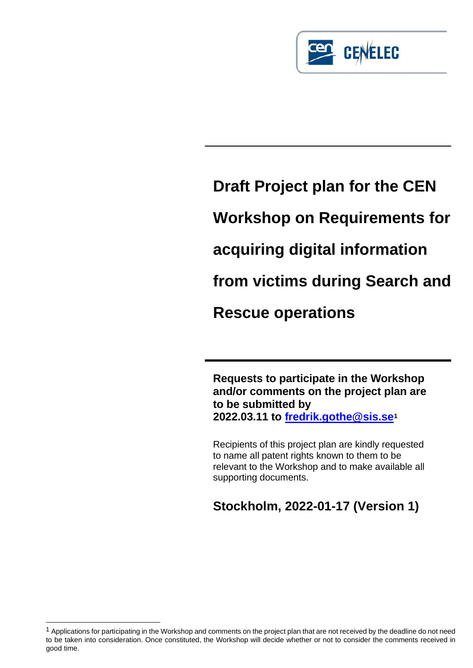

# **Draft Project plan for the CEN Workshop on Requirements for acquiring digital information from victims during Search and Rescue operations**

**Requests to participate in the Workshop and/or comments on the project plan are to be submitted by 2022.03.11 to [fredrik.gothe@sis.se](mailto:fredrik.gothe@sis.se)[1](#page-0-0)**

Recipients of this project plan are kindly requested to name all patent rights known to them to be relevant to the Workshop and to make available all supporting documents.

**Stockholm, 2022-01-17 (Version 1)**

<span id="page-0-0"></span><sup>&</sup>lt;sup>1</sup> Applications for participating in the Workshop and comments on the project plan that are not received by the deadline do not need to be taken into consideration. Once constituted, the Workshop will decide whether or not to consider the comments received in good time.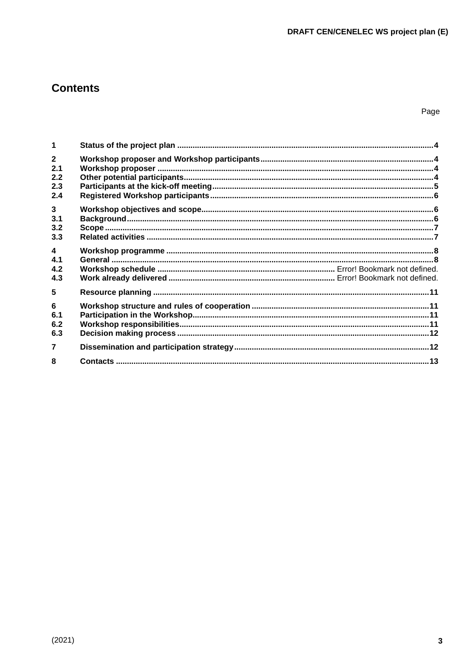# **Contents**

Page

| 1                                            |  |
|----------------------------------------------|--|
| $\overline{2}$<br>2.1<br>2.2<br>2.3<br>2.4   |  |
| $\mathbf{3}$<br>3.1<br>3.2<br>3.3            |  |
| $\overline{\mathbf{4}}$<br>4.1<br>4.2<br>4.3 |  |
| 5                                            |  |
| 6<br>6.1<br>6.2<br>6.3                       |  |
| $\overline{7}$                               |  |
| 8                                            |  |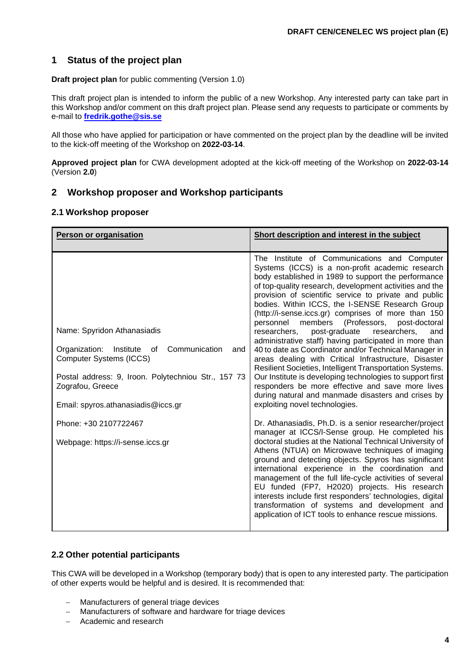# <span id="page-2-0"></span>**1 Status of the project plan**

**Draft project plan** for public commenting (Version 1.0)

This draft project plan is intended to inform the public of a new Workshop. Any interested party can take part in this Workshop and/or comment on this draft project plan. Please send any requests to participate or comments by e-mail to **[fredrik.gothe@sis.se](mailto:fredrik.gothe@sis.se)**

All those who have applied for participation or have commented on the project plan by the deadline will be invited to the kick-off meeting of the Workshop on **2022-03-14**.

**Approved project plan** for CWA development adopted at the kick-off meeting of the Workshop on **2022-03-14** (Version **2.0**)

#### <span id="page-2-1"></span>**2 Workshop proposer and Workshop participants**

#### <span id="page-2-2"></span>**2.1 Workshop proposer**

| Person or organisation                                                                                                                                                                                                                     | Short description and interest in the subject                                                                                                                                                                                                                                                                                                                                                                                                                                                                                                                                                                                                                                                                                                                                                                                                                                                                                                    |
|--------------------------------------------------------------------------------------------------------------------------------------------------------------------------------------------------------------------------------------------|--------------------------------------------------------------------------------------------------------------------------------------------------------------------------------------------------------------------------------------------------------------------------------------------------------------------------------------------------------------------------------------------------------------------------------------------------------------------------------------------------------------------------------------------------------------------------------------------------------------------------------------------------------------------------------------------------------------------------------------------------------------------------------------------------------------------------------------------------------------------------------------------------------------------------------------------------|
| Name: Spyridon Athanasiadis<br>Organization:<br>Communication<br>Institute<br>οf<br>and<br><b>Computer Systems (ICCS)</b><br>Postal address: 9, Iroon. Polytechniou Str., 157 73<br>Zografou, Greece<br>Email: spyros.athanasiadis@iccs.gr | The Institute of Communications and Computer<br>Systems (ICCS) is a non-profit academic research<br>body established in 1989 to support the performance<br>of top-quality research, development activities and the<br>provision of scientific service to private and public<br>bodies. Within ICCS, the I-SENSE Research Group<br>(http://i-sense.iccs.gr) comprises of more than 150<br>members (Professors, post-doctoral<br>personnel<br>researchers,<br>post-graduate<br>researchers,<br>and<br>administrative staff) having participated in more than<br>40 to date as Coordinator and/or Technical Manager in<br>areas dealing with Critical Infrastructure, Disaster<br>Resilient Societies, Intelligent Transportation Systems.<br>Our Institute is developing technologies to support first<br>responders be more effective and save more lives<br>during natural and manmade disasters and crises by<br>exploiting novel technologies. |
| Phone: +30 2107722467<br>Webpage: https://i-sense.iccs.gr                                                                                                                                                                                  | Dr. Athanasiadis, Ph.D. is a senior researcher/project<br>manager at ICCS/I-Sense group. He completed his<br>doctoral studies at the National Technical University of<br>Athens (NTUA) on Microwave techniques of imaging<br>ground and detecting objects. Spyros has significant<br>international experience in the coordination and<br>management of the full life-cycle activities of several<br>EU funded (FP7, H2020) projects. His research<br>interests include first responders' technologies, digital<br>transformation of systems and development and<br>application of ICT tools to enhance rescue missions.                                                                                                                                                                                                                                                                                                                          |

#### <span id="page-2-3"></span>**2.2 Other potential participants**

This CWA will be developed in a Workshop (temporary body) that is open to any interested party. The participation of other experts would be helpful and is desired. It is recommended that:

- Manufacturers of general triage devices
- − Manufacturers of software and hardware for triage devices
- − Academic and research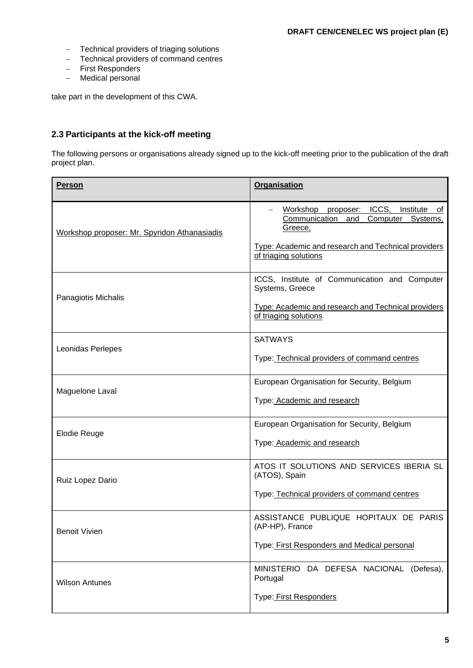- − Technical providers of triaging solutions
- − Technical providers of command centres
- − First Responders
- − Medical personal

take part in the development of this CWA.

# <span id="page-3-0"></span>**2.3 Participants at the kick-off meeting**

The following persons or organisations already signed up to the kick-off meeting prior to the publication of the draft project plan.

| <b>Person</b>                                | <b>Organisation</b>                                                                                                                                                                    |
|----------------------------------------------|----------------------------------------------------------------------------------------------------------------------------------------------------------------------------------------|
| Workshop proposer: Mr. Spyridon Athanasiadis | Workshop<br>proposer: ICCS,<br>Institute of<br>Communication<br>Computer<br>and<br>Systems,<br>Greece,<br>Type: Academic and research and Technical providers<br>of triaging solutions |
| Panagiotis Michalis                          | ICCS, Institute of Communication and Computer<br>Systems, Greece<br>Type: Academic and research and Technical providers<br>of triaging solutions                                       |
| Leonidas Perlepes                            | <b>SATWAYS</b><br>Type: Technical providers of command centres                                                                                                                         |
| Maguelone Laval                              | European Organisation for Security, Belgium<br>Type: Academic and research                                                                                                             |
| <b>Elodie Reuge</b>                          | European Organisation for Security, Belgium<br>Type: Academic and research                                                                                                             |
| Ruiz Lopez Dario                             | ATOS IT SOLUTIONS AND SERVICES IBERIA SL<br>(ATOS), Spain<br>Type: Technical providers of command centres                                                                              |
| <b>Benoit Vivien</b>                         | ASSISTANCE PUBLIQUE HOPITAUX DE PARIS<br>(AP-HP), France<br>Type: First Responders and Medical personal                                                                                |
| <b>Wilson Antunes</b>                        | MINISTERIO DA DEFESA NACIONAL (Defesa),<br>Portugal<br>Type: First Responders                                                                                                          |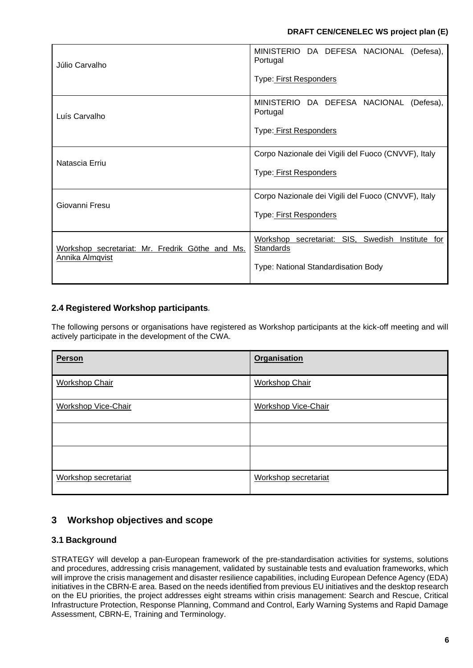| Júlio Carvalho                                                     | MINISTERIO DA DEFESA NACIONAL<br>(Defesa),<br>Portugal<br>Type: First Responders                        |
|--------------------------------------------------------------------|---------------------------------------------------------------------------------------------------------|
| Luís Carvalho                                                      | MINISTERIO DA DEFESA NACIONAL<br>(Defesa),<br>Portugal<br>Type: First Responders                        |
| Natascia Erriu                                                     | Corpo Nazionale dei Vigili del Fuoco (CNVVF), Italy<br>Type: First Responders                           |
| Giovanni Fresu                                                     | Corpo Nazionale dei Vigili del Fuoco (CNVVF), Italy<br>Type: First Responders                           |
| Workshop secretariat: Mr. Fredrik Göthe and Ms.<br>Annika Almqvist | Workshop secretariat: SIS, Swedish<br>Institute for<br>Standards<br>Type: National Standardisation Body |

# <span id="page-4-0"></span>**2.4 Registered Workshop participants***.*

The following persons or organisations have registered as Workshop participants at the kick-off meeting and will actively participate in the development of the CWA.

| Person                     | <b>Organisation</b>        |
|----------------------------|----------------------------|
| <b>Workshop Chair</b>      | <b>Workshop Chair</b>      |
| <b>Workshop Vice-Chair</b> | <b>Workshop Vice-Chair</b> |
|                            |                            |
|                            |                            |
| Workshop secretariat       | Workshop secretariat       |

# <span id="page-4-1"></span>**3 Workshop objectives and scope**

# <span id="page-4-2"></span>**3.1 Background**

STRATEGY will develop a pan-European framework of the pre-standardisation activities for systems, solutions and procedures, addressing crisis management, validated by sustainable tests and evaluation frameworks, which will improve the crisis management and disaster resilience capabilities, including European Defence Agency (EDA) initiatives in the CBRN-E area. Based on the needs identified from previous EU initiatives and the desktop research on the EU priorities, the project addresses eight streams within crisis management: Search and Rescue, Critical Infrastructure Protection, Response Planning, Command and Control, Early Warning Systems and Rapid Damage Assessment, CBRN-E, Training and Terminology.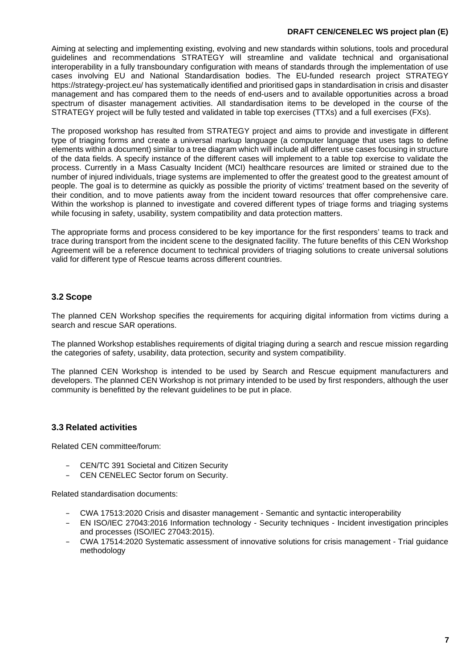#### **DRAFT CEN/CENELEC WS project plan (E)**

Aiming at selecting and implementing existing, evolving and new standards within solutions, tools and procedural guidelines and recommendations STRATEGY will streamline and validate technical and organisational interoperability in a fully transboundary configuration with means of standards through the implementation of use cases involving EU and National Standardisation bodies. The EU-funded research project STRATEGY https://strategy-project.eu/ has systematically identified and prioritised gaps in standardisation in crisis and disaster management and has compared them to the needs of end-users and to available opportunities across a broad spectrum of disaster management activities. All standardisation items to be developed in the course of the STRATEGY project will be fully tested and validated in table top exercises (TTXs) and a full exercises (FXs).

The proposed workshop has resulted from STRATEGY project and aims to provide and investigate in different type of triaging forms and create a universal markup language (a computer language that uses tags to define elements within a document) similar to a tree diagram which will include all different use cases focusing in structure of the data fields. A specify instance of the different cases will implement to a table top exercise to validate the process. Currently in a Mass Casualty Incident (MCI) healthcare resources are limited or strained due to the number of injured individuals, triage systems are implemented to offer the greatest good to the greatest amount of people. The goal is to determine as quickly as possible the priority of victims' treatment based on the severity of their condition, and to move patients away from the incident toward resources that offer comprehensive care. Within the workshop is planned to investigate and covered different types of triage forms and triaging systems while focusing in safety, usability, system compatibility and data protection matters.

The appropriate forms and process considered to be key importance for the first responders' teams to track and trace during transport from the incident scene to the designated facility. The future benefits of this CEN Workshop Agreement will be a reference document to technical providers of triaging solutions to create universal solutions valid for different type of Rescue teams across different countries.

### <span id="page-5-0"></span>**3.2 Scope**

The planned CEN Workshop specifies the requirements for acquiring digital information from victims during a search and rescue SAR operations.

The planned Workshop establishes requirements of digital triaging during a search and rescue mission regarding the categories of safety, usability, data protection, security and system compatibility.

The planned CEN Workshop is intended to be used by Search and Rescue equipment manufacturers and developers. The planned CEN Workshop is not primary intended to be used by first responders, although the user community is benefitted by the relevant guidelines to be put in place.

#### <span id="page-5-1"></span>**3.3 Related activities**

Related CEN committee/forum:

- CEN/TC 391 Societal and Citizen Security
- CEN CENELEC Sector forum on Security.

Related standardisation documents:

- CWA 17513:2020 Crisis and disaster management Semantic and syntactic interoperability
- EN ISO/IEC 27043:2016 Information technology Security techniques Incident investigation principles and processes (ISO/IEC 27043:2015).
- CWA 17514:2020 Systematic assessment of innovative solutions for crisis management Trial guidance methodology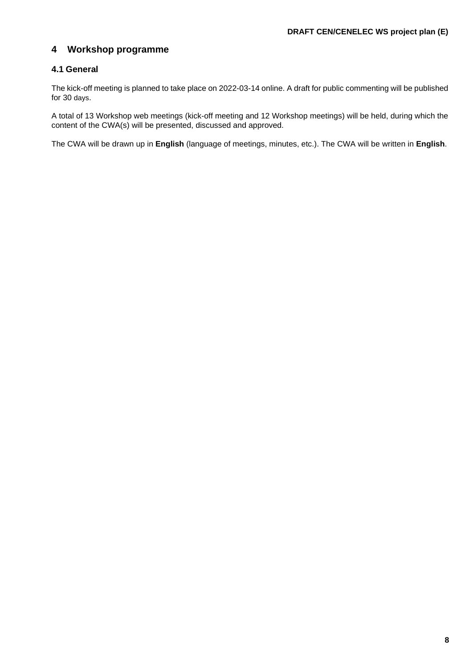# <span id="page-6-0"></span>**4 Workshop programme**

# <span id="page-6-1"></span>**4.1 General**

The kick-off meeting is planned to take place on 2022-03-14 online. A draft for public commenting will be published for 30 days.

A total of 13 Workshop web meetings (kick-off meeting and 12 Workshop meetings) will be held, during which the content of the CWA(s) will be presented, discussed and approved.

The CWA will be drawn up in **English** (language of meetings, minutes, etc.). The CWA will be written in **English**.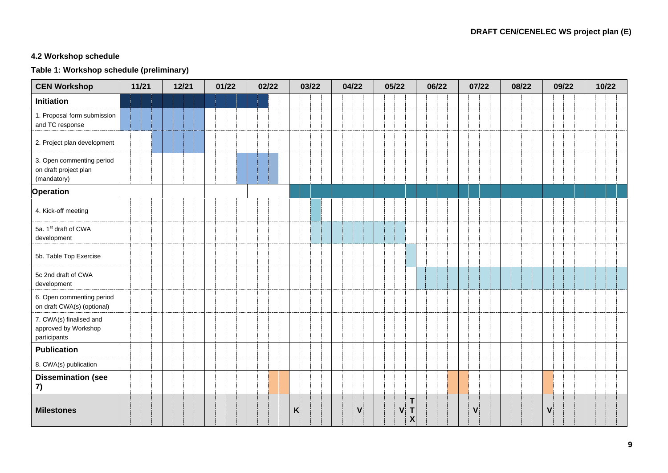## **4.2 Workshop schedule**

# **Table 1: Workshop schedule (preliminary)**

| <b>CEN Workshop</b>                                               | 11/21 | 12/21 | 01/22 | 02/22 | 03/22        | 04/22        | 05/22                                                          | 06/22 | 07/22        | 08/22 | 09/22        | 10/22 |
|-------------------------------------------------------------------|-------|-------|-------|-------|--------------|--------------|----------------------------------------------------------------|-------|--------------|-------|--------------|-------|
| <b>Initiation</b>                                                 |       |       |       |       |              |              |                                                                |       |              |       |              |       |
| 1. Proposal form submission<br>and TC response                    |       |       |       |       |              |              |                                                                |       |              |       |              |       |
| 2. Project plan development                                       |       |       |       |       |              |              |                                                                |       |              |       |              |       |
| 3. Open commenting period<br>on draft project plan<br>(mandatory) |       |       |       |       |              |              |                                                                |       |              |       |              |       |
| <b>Operation</b>                                                  |       |       |       |       |              |              |                                                                |       |              |       |              |       |
| 4. Kick-off meeting                                               |       |       |       |       |              |              |                                                                |       |              |       |              |       |
| 5a. 1st draft of CWA<br>development                               |       |       |       |       |              |              |                                                                |       |              |       |              |       |
| 5b. Table Top Exercise                                            |       |       |       |       |              |              |                                                                |       |              |       |              |       |
| 5c 2nd draft of CWA<br>development                                |       |       |       |       |              |              |                                                                |       |              |       |              |       |
| 6. Open commenting period<br>on draft CWA(s) (optional)           |       |       |       |       |              |              |                                                                |       |              |       |              |       |
| 7. CWA(s) finalised and<br>approved by Workshop<br>participants   |       |       |       |       |              |              |                                                                |       |              |       |              |       |
| <b>Publication</b>                                                |       |       |       |       |              |              |                                                                |       |              |       |              |       |
| 8. CWA(s) publication                                             |       |       |       |       |              |              |                                                                |       |              |       |              |       |
| <b>Dissemination (see</b><br>7)                                   |       |       |       |       |              |              |                                                                |       |              |       |              |       |
| <b>Milestones</b>                                                 |       |       |       |       | $\mathsf{K}$ | $\mathbf{V}$ | T<br>$\mathsf{T}$<br>$\mathbf{V}$<br>$\boldsymbol{\mathsf{X}}$ |       | $\mathsf{V}$ |       | $\mathsf{V}$ |       |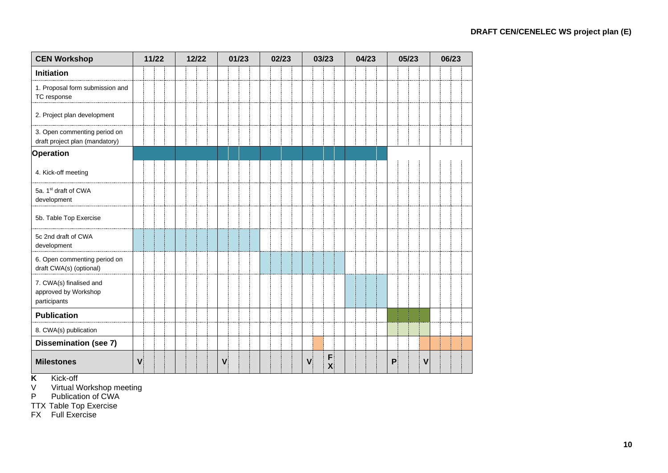| <b>CEN Workshop</b>                                             | 11/22        |  | 12/22 |  |  | 01/23 |  |   | 02/23 |  |  | 03/23 |  |              |  | 04/23             |  |  |  | 05/23 |  |   |  | 06/23 |             |  |  |  |  |
|-----------------------------------------------------------------|--------------|--|-------|--|--|-------|--|---|-------|--|--|-------|--|--------------|--|-------------------|--|--|--|-------|--|---|--|-------|-------------|--|--|--|--|
| <b>Initiation</b>                                               |              |  |       |  |  |       |  |   |       |  |  |       |  |              |  |                   |  |  |  |       |  |   |  |       |             |  |  |  |  |
| 1. Proposal form submission and<br>TC response                  |              |  |       |  |  |       |  |   |       |  |  |       |  |              |  |                   |  |  |  |       |  |   |  |       |             |  |  |  |  |
| 2. Project plan development                                     |              |  |       |  |  |       |  |   |       |  |  |       |  |              |  |                   |  |  |  |       |  |   |  |       |             |  |  |  |  |
| 3. Open commenting period on<br>draft project plan (mandatory)  |              |  |       |  |  |       |  |   |       |  |  |       |  |              |  |                   |  |  |  |       |  |   |  |       |             |  |  |  |  |
| Operation                                                       |              |  |       |  |  |       |  |   |       |  |  |       |  |              |  |                   |  |  |  |       |  |   |  |       |             |  |  |  |  |
| 4. Kick-off meeting                                             |              |  |       |  |  |       |  |   |       |  |  |       |  |              |  |                   |  |  |  |       |  |   |  |       |             |  |  |  |  |
| 5a. 1st draft of CWA<br>development                             |              |  |       |  |  |       |  |   |       |  |  |       |  |              |  |                   |  |  |  |       |  |   |  |       |             |  |  |  |  |
| 5b. Table Top Exercise                                          |              |  |       |  |  |       |  |   |       |  |  |       |  |              |  |                   |  |  |  |       |  |   |  |       |             |  |  |  |  |
| 5c 2nd draft of CWA<br>development                              |              |  |       |  |  |       |  |   |       |  |  |       |  |              |  |                   |  |  |  |       |  |   |  |       |             |  |  |  |  |
| 6. Open commenting period on<br>draft CWA(s) (optional)         |              |  |       |  |  |       |  |   |       |  |  |       |  |              |  |                   |  |  |  |       |  |   |  |       |             |  |  |  |  |
| 7. CWA(s) finalised and<br>approved by Workshop<br>participants |              |  |       |  |  |       |  |   |       |  |  |       |  |              |  |                   |  |  |  |       |  |   |  |       |             |  |  |  |  |
| <b>Publication</b>                                              |              |  |       |  |  |       |  |   |       |  |  |       |  |              |  |                   |  |  |  |       |  |   |  |       |             |  |  |  |  |
| 8. CWA(s) publication                                           |              |  |       |  |  |       |  |   |       |  |  |       |  |              |  |                   |  |  |  |       |  |   |  |       |             |  |  |  |  |
| <b>Dissemination (see 7)</b>                                    |              |  |       |  |  |       |  |   |       |  |  |       |  |              |  |                   |  |  |  |       |  |   |  |       |             |  |  |  |  |
| <b>Milestones</b>                                               | $\mathbf{V}$ |  |       |  |  |       |  | V |       |  |  |       |  | $\mathbf{V}$ |  | F<br>$\mathbf{x}$ |  |  |  |       |  | P |  |       | $\mathbf v$ |  |  |  |  |

**K** Kick-off

V Virtual Workshop meeting

P Publication of CWA

TTX Table Top Exercise

FX Full Exercise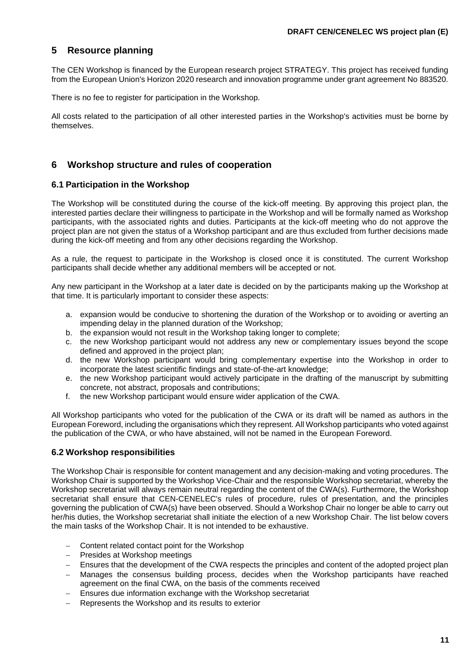# <span id="page-9-0"></span>**5 Resource planning**

The CEN Workshop is financed by the European research project STRATEGY. This project has received funding from the European Union's Horizon 2020 research and innovation programme under grant agreement No 883520.

There is no fee to register for participation in the Workshop.

All costs related to the participation of all other interested parties in the Workshop's activities must be borne by themselves.

#### <span id="page-9-1"></span>**6 Workshop structure and rules of cooperation**

#### <span id="page-9-2"></span>**6.1 Participation in the Workshop**

The Workshop will be constituted during the course of the kick-off meeting. By approving this project plan, the interested parties declare their willingness to participate in the Workshop and will be formally named as Workshop participants, with the associated rights and duties. Participants at the kick-off meeting who do not approve the project plan are not given the status of a Workshop participant and are thus excluded from further decisions made during the kick-off meeting and from any other decisions regarding the Workshop.

As a rule, the request to participate in the Workshop is closed once it is constituted. The current Workshop participants shall decide whether any additional members will be accepted or not.

Any new participant in the Workshop at a later date is decided on by the participants making up the Workshop at that time. It is particularly important to consider these aspects:

- a. expansion would be conducive to shortening the duration of the Workshop or to avoiding or averting an impending delay in the planned duration of the Workshop;
- b. the expansion would not result in the Workshop taking longer to complete;
- c. the new Workshop participant would not address any new or complementary issues beyond the scope defined and approved in the project plan;
- d. the new Workshop participant would bring complementary expertise into the Workshop in order to incorporate the latest scientific findings and state-of-the-art knowledge;
- e. the new Workshop participant would actively participate in the drafting of the manuscript by submitting concrete, not abstract, proposals and contributions;
- f. the new Workshop participant would ensure wider application of the CWA.

All Workshop participants who voted for the publication of the CWA or its draft will be named as authors in the European Foreword, including the organisations which they represent. All Workshop participants who voted against the publication of the CWA, or who have abstained, will not be named in the European Foreword.

#### <span id="page-9-3"></span>**6.2 Workshop responsibilities**

The Workshop Chair is responsible for content management and any decision-making and voting procedures. The Workshop Chair is supported by the Workshop Vice-Chair and the responsible Workshop secretariat, whereby the Workshop secretariat will always remain neutral regarding the content of the CWA(s). Furthermore, the Workshop secretariat shall ensure that CEN-CENELEC's rules of procedure, rules of presentation, and the principles governing the publication of CWA(s) have been observed. Should a Workshop Chair no longer be able to carry out her/his duties, the Workshop secretariat shall initiate the election of a new Workshop Chair. The list below covers the main tasks of the Workshop Chair. It is not intended to be exhaustive.

- Content related contact point for the Workshop
- − Presides at Workshop meetings
- Ensures that the development of the CWA respects the principles and content of the adopted project plan
- − Manages the consensus building process, decides when the Workshop participants have reached agreement on the final CWA, on the basis of the comments received
- Ensures due information exchange with the Workshop secretariat
- Represents the Workshop and its results to exterior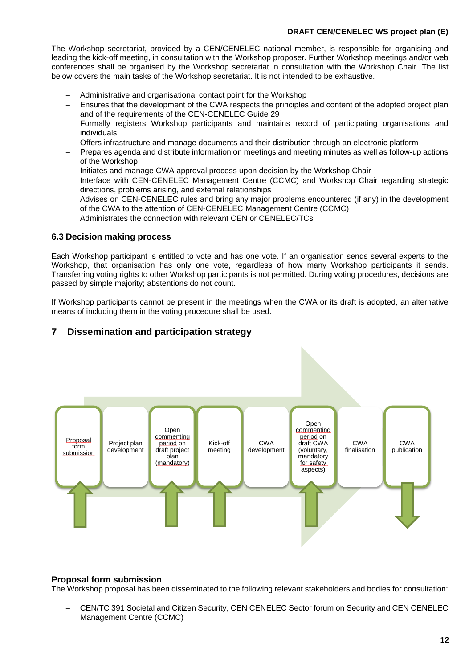#### **DRAFT CEN/CENELEC WS project plan (E)**

The Workshop secretariat, provided by a CEN/CENELEC national member, is responsible for organising and leading the kick-off meeting, in consultation with the Workshop proposer. Further Workshop meetings and/or web conferences shall be organised by the Workshop secretariat in consultation with the Workshop Chair. The list below covers the main tasks of the Workshop secretariat. It is not intended to be exhaustive.

- − Administrative and organisational contact point for the Workshop
- Ensures that the development of the CWA respects the principles and content of the adopted project plan and of the requirements of the CEN-CENELEC Guide 29
- Formally registers Workshop participants and maintains record of participating organisations and individuals
- <span id="page-10-2"></span>− Offers infrastructure and manage documents and their distribution through an electronic platform
- − Prepares agenda and distribute information on meetings and meeting minutes as well as follow-up actions of the Workshop
- − Initiates and manage CWA approval process upon decision by the Workshop Chair
- − Interface with CEN-CENELEC Management Centre (CCMC) and Workshop Chair regarding strategic directions, problems arising, and external relationships
- Advises on CEN-CENELEC rules and bring any major problems encountered (if any) in the development of the CWA to the attention of CEN-CENELEC Management Centre (CCMC)
- − Administrates the connection with relevant CEN or CENELEC/TCs

#### <span id="page-10-0"></span>**6.3 Decision making process**

Each Workshop participant is entitled to vote and has one vote. If an organisation sends several experts to the Workshop, that organisation has only one vote, regardless of how many Workshop participants it sends. Transferring voting rights to other Workshop participants is not permitted. During voting procedures, decisions are passed by simple majority; abstentions do not count.

If Workshop participants cannot be present in the meetings when the CWA or its draft is adopted, an alternative means of including them in the voting procedure shall be used.

### <span id="page-10-1"></span>**7 Dissemination and participation strategy**



#### **Proposal form submission**

The Workshop proposal has been disseminated to the following relevant stakeholders and bodies for consultation:

− CEN/TC 391 Societal and Citizen Security, CEN CENELEC Sector forum on Security and CEN CENELEC Management Centre (CCMC)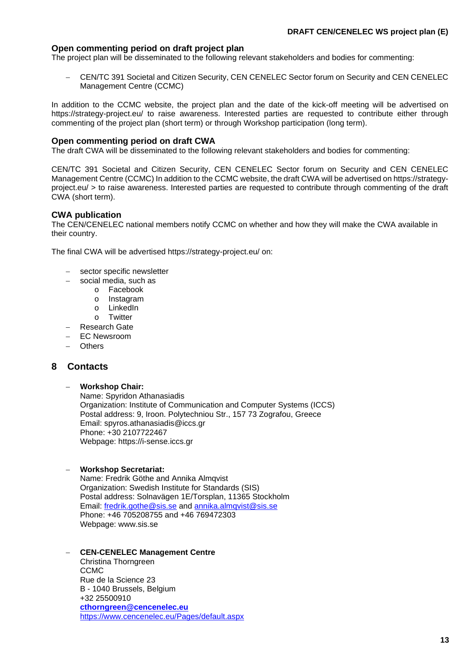#### **Open commenting period on draft project plan**

The project plan will be disseminated to the following relevant stakeholders and bodies for commenting:

CEN/TC 391 Societal and Citizen Security, CEN CENELEC Sector forum on Security and CEN CENELEC Management Centre (CCMC)

In addition to the CCMC website, the project plan and the date of the kick-off meeting will be advertised on https://strategy-project.eu/ to raise awareness. Interested parties are requested to contribute either through commenting of the project plan (short term) or through Workshop participation (long term).

#### **Open commenting period on draft CWA**

The draft CWA will be disseminated to the following relevant stakeholders and bodies for commenting:

CEN/TC 391 Societal and Citizen Security, CEN CENELEC Sector forum on Security and CEN CENELEC Management Centre (CCMC) In addition to the CCMC website, the draft CWA will be advertised on https://strategyproject.eu/ > to raise awareness. Interested parties are requested to contribute through commenting of the draft CWA (short term).

#### **CWA publication**

The CEN/CENELEC national members notify CCMC on whether and how they will make the CWA available in their country.

The final CWA will be advertised https://strategy-project.eu/ on:

- sector specific newsletter
- social media, such as
	- o Facebook
	- o Instagram
	- o LinkedIn<br>o Twitter
	- **Twitter**
- − Research Gate
- − EC Newsroom
- Others

#### <span id="page-11-0"></span>**8 Contacts**

#### − **Workshop Chair:**

Name: Spyridon Athanasiadis Organization: Institute of Communication and Computer Systems (ICCS) Postal address: 9, Iroon. Polytechniou Str., 157 73 Zografou, Greece Email: spyros.athanasiadis@iccs.gr Phone: +30 2107722467 Webpage: https://i-sense.iccs.gr

#### − **Workshop Secretariat:**

Name: Fredrik Göthe and Annika Almqvist Organization: Swedish Institute for Standards (SIS) Postal address: Solnavägen 1E/Torsplan, 11365 Stockholm Email: [fredrik.gothe@sis.se](mailto:fredrik.gothe@sis.se) and [annika.almqvist@sis.se](mailto:annika.almqvist@sis.se) Phone: +46 705208755 and +46 769472303 Webpage: www.sis.se

#### − **CEN-CENELEC Management Centre**

Christina Thorngreen **CCMC** Rue de la Science 23 B - 1040 Brussels, Belgium +32 25500910 **[cthorngreen@cencenelec.eu](mailto:cthorngreen@cencenelec.eu)** <https://www.cencenelec.eu/Pages/default.aspx>